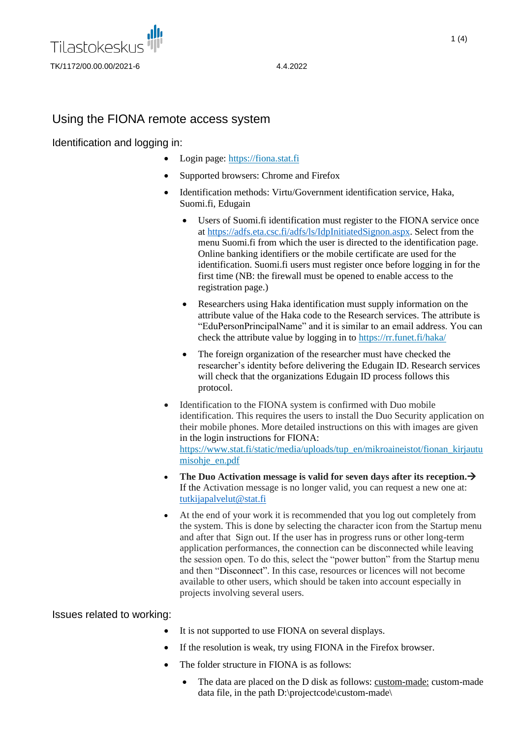

# Using the FIONA remote access system

Identification and logging in:

- Login page: [https://fiona.stat.fi](https://fiona.stat.fi/)
- Supported browsers: Chrome and Firefox
- Identification methods: Virtu/Government identification service, Haka, Suomi.fi, Edugain
	- Users of Suomi.fi identification must register to the FIONA service once at [https://adfs.eta.csc.fi/adfs/ls/IdpInitiatedSignon.aspx.](https://adfs.eta.csc.fi/adfs/ls/IdpInitiatedSignon.aspx) Select from the menu Suomi.fi from which the user is directed to the identification page. Online banking identifiers or the mobile certificate are used for the identification. Suomi.fi users must register once before logging in for the first time (NB: the firewall must be opened to enable access to the registration page.)
	- Researchers using Haka identification must supply information on the attribute value of the Haka code to the Research services. The attribute is "EduPersonPrincipalName" and it is similar to an email address. You can check the attribute value by logging in to<https://rr.funet.fi/haka/>
	- The foreign organization of the researcher must have checked the researcher's identity before delivering the Edugain ID. Research services will check that the organizations Edugain ID process follows this protocol.
- Identification to the FIONA system is confirmed with Duo mobile identification. This requires the users to install the Duo Security application on their mobile phones. More detailed instructions on this with images are given in the login instructions for FIONA: [https://www.stat.fi/static/media/uploads/tup\\_en/mikroaineistot/fionan\\_kirjautu](https://www.stat.fi/static/media/uploads/tup_en/mikroaineistot/fionan_kirjautumisohje_en.pdf) misohie\_en.pdf
- **The Duo Activation message is valid for seven days after its reception.**→ If the Activation message is no longer valid, you can request a new one at: [tutkijapalvelut@stat.fi](mailto:tutkijapalvelut@stat.fi)
- At the end of your work it is recommended that you log out completely from the system. This is done by selecting the character icon from the Startup menu and after that Sign out. If the user has in progress runs or other long-term application performances, the connection can be disconnected while leaving the session open. To do this, select the "power button" from the Startup menu and then "Disconnect". In this case, resources or licences will not become available to other users, which should be taken into account especially in projects involving several users.

Issues related to working:

- It is not supported to use FIONA on several displays.
- If the resolution is weak, try using FIONA in the Firefox browser.
- The folder structure in FIONA is as follows:
	- The data are placed on the D disk as follows: custom-made: custom-made data file, in the path D:\projectcode\custom-made\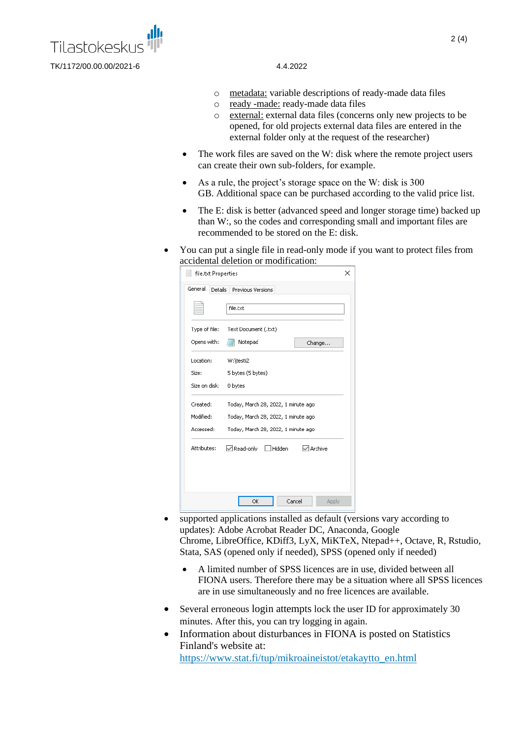

- o metadata: variable descriptions of ready-made data files
- o ready -made: ready-made data files
- o external: external data files (concerns only new projects to be opened, for old projects external data files are entered in the external folder only at the request of the researcher)
- The work files are saved on the W: disk where the remote project users can create their own sub-folders, for example.
- As a rule, the project's storage space on the W: disk is 300 GB. Additional space can be purchased according to the valid price list.
- The E: disk is better (advanced speed and longer storage time) backed up than W:, so the codes and corresponding small and important files are recommended to be stored on the E: disk.
- You can put a single file in read-only mode if you want to protect files from accidental deletion or modification:

| file.txt Properties |                                     | x |
|---------------------|-------------------------------------|---|
| General<br>Details  | Previous Versions                   |   |
|                     | file.txt                            |   |
| Type of file:       | Text Document (.txt)                |   |
| Opens with:         | Notepad<br>Change                   |   |
| Location:           | W:\testi2                           |   |
| Size:               | 5 bytes (5 bytes)                   |   |
| Size on disk:       | 0 bytes                             |   |
| Created:            | Today, March 28, 2022, 1 minute ago |   |
| Modified:           | Today, March 28, 2022, 1 minute ago |   |
| Accessed:           | Today, March 28, 2022, 1 minute ago |   |
| Attributes:         | Hidden<br>√ Archive<br>√Read-only   |   |
|                     |                                     |   |
|                     |                                     |   |
|                     | Cancel<br>OK<br>Apply               |   |

- supported applications installed as default (versions vary according to updates): Adobe Acrobat Reader DC, Anaconda, Google Chrome, LibreOffice, KDiff3, LyX, MiKTeX, Ntepad++, Octave, R, Rstudio, Stata, SAS (opened only if needed), SPSS (opened only if needed)
	- A limited number of SPSS licences are in use, divided between all FIONA users. Therefore there may be a situation where all SPSS licences are in use simultaneously and no free licences are available.
- Several erroneous login attempts lock the user ID for approximately 30 minutes. After this, you can try logging in again.
- Information about disturbances in FIONA is posted on Statistics Finland's website at: [https://www.stat.fi/tup/mikroaineistot/etakaytto\\_en.html](https://www.stat.fi/tup/mikroaineistot/etakaytto_en.html)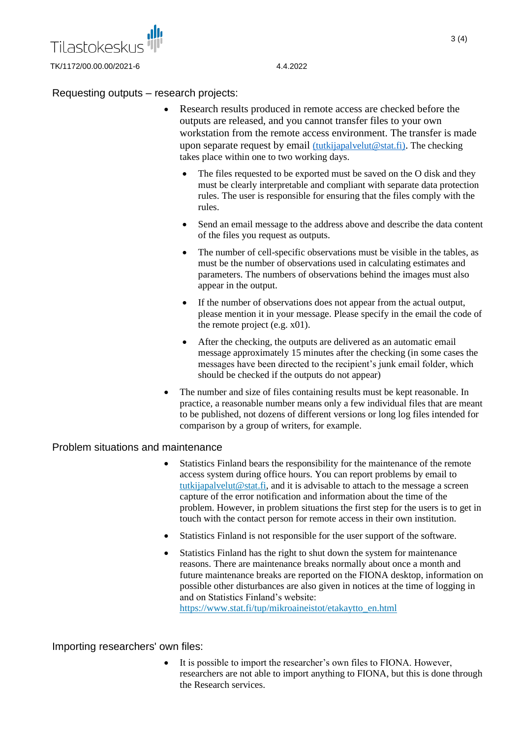

### Requesting outputs – research projects:

- Research results produced in remote access are checked before the outputs are released, and you cannot transfer files to your own workstation from the remote access environment. The transfer is made upon separate request by email [\(tutkijapalvelut@stat.fi\)](mailto:tutkijapalvelut@stat.fi). The checking takes place within one to two working days.
	- The files requested to be exported must be saved on the O disk and they must be clearly interpretable and compliant with separate data protection rules. The user is responsible for ensuring that the files comply with the rules.
	- Send an email message to the address above and describe the data content of the files you request as outputs.
	- The number of cell-specific observations must be visible in the tables, as must be the number of observations used in calculating estimates and parameters. The numbers of observations behind the images must also appear in the output.
	- If the number of observations does not appear from the actual output. please mention it in your message. Please specify in the email the code of the remote project  $(e.g. x01)$ .
	- After the checking, the outputs are delivered as an automatic email message approximately 15 minutes after the checking (in some cases the messages have been directed to the recipient's junk email folder, which should be checked if the outputs do not appear)
- The number and size of files containing results must be kept reasonable. In practice, a reasonable number means only a few individual files that are meant to be published, not dozens of different versions or long log files intended for comparison by a group of writers, for example.

### Problem situations and maintenance

- Statistics Finland bears the responsibility for the maintenance of the remote access system during office hours. You can report problems by email to [tutkijapalvelut@stat.fi,](tutkijapalvelut@stat.fi) and it is advisable to attach to the message a screen capture of the error notification and information about the time of the problem. However, in problem situations the first step for the users is to get in touch with the contact person for remote access in their own institution.
- Statistics Finland is not responsible for the user support of the software.
- Statistics Finland has the right to shut down the system for maintenance reasons. There are maintenance breaks normally about once a month and future maintenance breaks are reported on the FIONA desktop, information on possible other disturbances are also given in notices at the time of logging in and on Statistics Finland's website: [https://www.stat.fi/tup/mikroaineistot/etakaytto\\_en.html](https://www.stat.fi/tup/mikroaineistot/etakaytto_en.html)

### Importing researchers' own files:

It is possible to import the researcher's own files to FIONA. However, researchers are not able to import anything to FIONA, but this is done through the Research services.